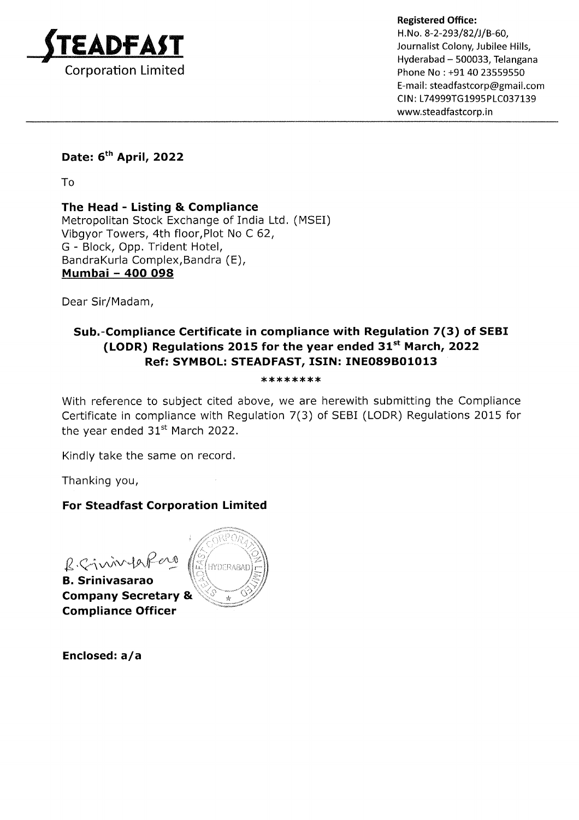

Phone No : +91 40 23559550 E-mail: steadfastcorp@gmail.com CIN: L74999TG1995PLC037139 www.steadfastcorp.in

# Date: 6<sup>th</sup> April, 2022

To

The Head - Listing & Compliance Metropolitan Stock Exchange of India Ltd. (MSEI) Vibgyor Towers, 4th floor,Plot No C 62, G - Block, Opp. Trident Hotel, BandraKurla Complex,Bandra (E), Mumbai - 4OO O98

Dear Sir/Madam,

## Sub.-Compliance Certificate in compliance with Regulation 7(3) of SEBI (LODR) Regulations 2015 for the year ended  $31^{st}$  March, 2022 Ref: SYMBOL: STEADFAST, ISIN: INEO89BO1OI3

#### \*\*\*\*\*\*\*\*\*\*\*\*\*\*\*\*\*

With reference to subject cited above, we are herewith submitting the Compliance Certificate in compliance with Regulation 7(3) of SEBI (LODR) Regulations 2015 for the year ended  $31<sup>st</sup>$  March 2022.

Kindly take the same on record.

Thanking you,

## For Steadfast Corporation Limited

B. Sinivipoper

B. Srinivasarao Company Secretary & Compliance Officer



Enclosed: a/a